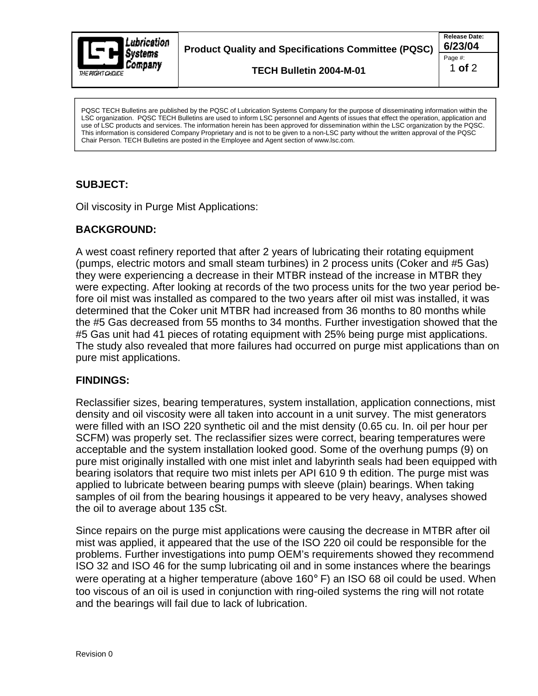

**Product Quality and Specifications Committee (PQSC) 6/23/04**

**TECH Bulletin 2004-M-01**

**Release Date:** Page #:  $\qquad \qquad \blacksquare$ 1 **of** 2

LSC organization. PQSC TECH Bulletins are used to inform LSC personnel and Agents of issues that effect the operation, application and use of LSC products and services. The information herein has been approved for dissemination within the LSC organization by the PQSC. This information is considered Company Proprietary and is not to be given to a non-LSC party without the written approval of the PQSC Chair Person. TECH Bulletins are posted in the Employee and Agent section of www.lsc.com.

## **SUBJECT:**

Oil viscosity in Purge Mist Applications:

## **BACKGROUND:**

A west coast refinery reported that after 2 years of lubricating their rotating equipment (pumps, electric motors and small steam turbines) in 2 process units (Coker and #5 Gas) they were experiencing a decrease in their MTBR instead of the increase in MTBR they were expecting. After looking at records of the two process units for the two year period before oil mist was installed as compared to the two years after oil mist was installed, it was determined that the Coker unit MTBR had increased from 36 months to 80 months while the #5 Gas decreased from 55 months to 34 months. Further investigation showed that the #5 Gas unit had 41 pieces of rotating equipment with 25% being purge mist applications. The study also revealed that more failures had occurred on purge mist applications than on pure mist applications. For the bearing response that the risk of lubrication. Power the bearing the dissemination are purpose to a system of the purpose of the purpose of the purpose of the PQSC of the PQSC CR CH Bulletins are purpose of the PQS

## **FINDINGS:**

Reclassifier sizes, bearing temperatures, system installation, application connections, mist density and oil viscosity were all taken into account in a unit survey. The mist generators were filled with an ISO 220 synthetic oil and the mist density (0.65 cu. In. oil per hour per SCFM) was properly set. The reclassifier sizes were correct, bearing temperatures were acceptable and the system installation looked good. Some of the overhung pumps (9) on pure mist originally installed with one mist inlet and labyrinth seals had been equipped with bearing isolators that require two mist inlets per API 610 9 th edition.The purge mist was applied to lubricate between bearing pumps with sleeve (plain) bearings. When taking samples of oil from the bearing housings it appeared to be very heavy, analyses showed the oil to average about 135 cSt.

Since repairs on the purge mist applications were causing the decrease in MTBR after oil mist was applied, it appeared that the use of the ISO 220 oil could be responsible for the problems. Further investigations into pump OEM's requirements showed they recommend ISO 32 and ISO 46 for the sump lubricating oil and in some instances where the bearings were operating at a higher temperature (above 160° F) an ISO 68 oil could be used. When too viscous of an oil is used in conjunction with ring-oiled systems the ring will not rotate